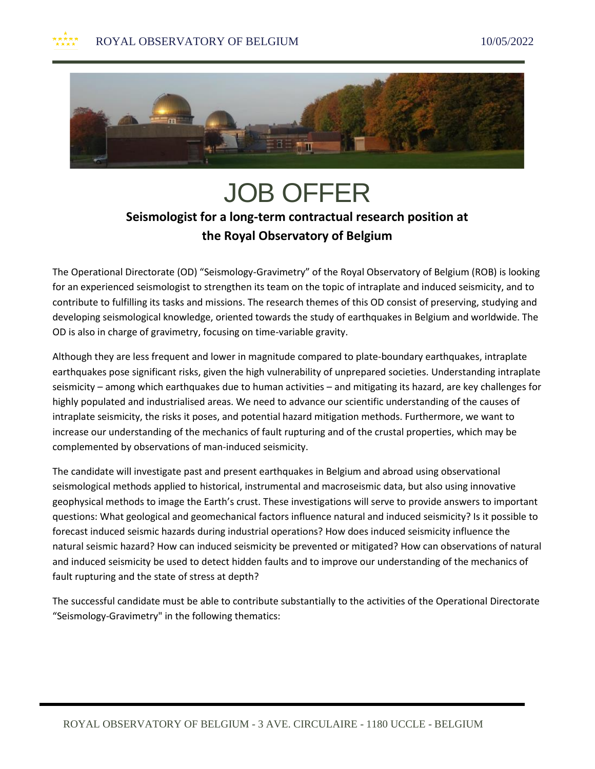

## JOB OFFER **Seismologist for a long-term contractual research position at the Royal Observatory of Belgium**

The Operational Directorate (OD) "Seismology-Gravimetry" of the Royal Observatory of Belgium (ROB) is looking for an experienced seismologist to strengthen its team on the topic of intraplate and induced seismicity, and to contribute to fulfilling its tasks and missions. The research themes of this OD consist of preserving, studying and developing seismological knowledge, oriented towards the study of earthquakes in Belgium and worldwide. The OD is also in charge of gravimetry, focusing on time-variable gravity.

Although they are less frequent and lower in magnitude compared to plate-boundary earthquakes, intraplate earthquakes pose significant risks, given the high vulnerability of unprepared societies. Understanding intraplate seismicity – among which earthquakes due to human activities – and mitigating its hazard, are key challenges for highly populated and industrialised areas. We need to advance our scientific understanding of the causes of intraplate seismicity, the risks it poses, and potential hazard mitigation methods. Furthermore, we want to increase our understanding of the mechanics of fault rupturing and of the crustal properties, which may be complemented by observations of man-induced seismicity.

The candidate will investigate past and present earthquakes in Belgium and abroad using observational seismological methods applied to historical, instrumental and macroseismic data, but also using innovative geophysical methods to image the Earth's crust. These investigations will serve to provide answers to important questions: What geological and geomechanical factors influence natural and induced seismicity? Is it possible to forecast induced seismic hazards during industrial operations? How does induced seismicity influence the natural seismic hazard? How can induced seismicity be prevented or mitigated? How can observations of natural and induced seismicity be used to detect hidden faults and to improve our understanding of the mechanics of fault rupturing and the state of stress at depth?

The successful candidate must be able to contribute substantially to the activities of the Operational Directorate "Seismology-Gravimetry" in the following thematics: